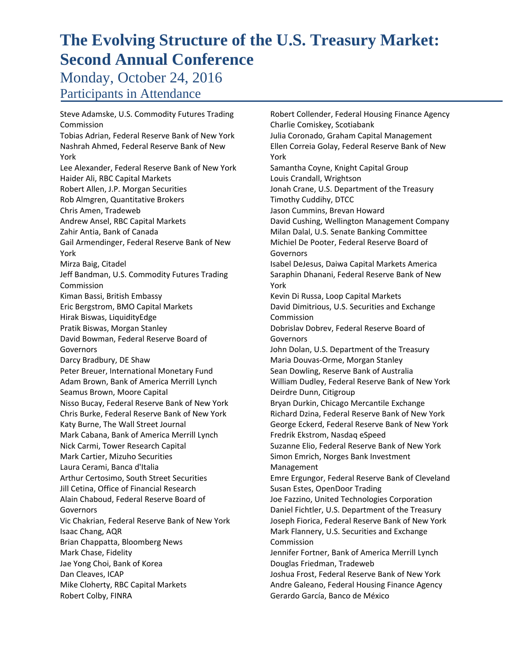Monday, October 24, 2016 Participants in Attendance

Steve Adamske, U.S. Commodity Futures Trading Commission Tobias Adrian, Federal Reserve Bank of New York Nashrah Ahmed, Federal Reserve Bank of New York Lee Alexander, Federal Reserve Bank of New York Haider Ali, RBC Capital Markets Robert Allen, J.P. Morgan Securities Rob Almgren, Quantitative Brokers Chris Amen, Tradeweb Andrew Ansel, RBC Capital Markets Zahir Antia, Bank of Canada Gail Armendinger, Federal Reserve Bank of New York Mirza Baig, Citadel Jeff Bandman, U.S. Commodity Futures Trading Commission Kiman Bassi, British Embassy Eric Bergstrom, BMO Capital Markets Hirak Biswas, LiquidityEdge Pratik Biswas, Morgan Stanley David Bowman, Federal Reserve Board of Governors Darcy Bradbury, DE Shaw Peter Breuer, International Monetary Fund Adam Brown, Bank of America Merrill Lynch Seamus Brown, Moore Capital Nisso Bucay, Federal Reserve Bank of New York Chris Burke, Federal Reserve Bank of New York Katy Burne, The Wall Street Journal Mark Cabana, Bank of America Merrill Lynch Nick Carmi, Tower Research Capital Mark Cartier, Mizuho Securities Laura Cerami, Banca d'Italia Arthur Certosimo, South Street Securities Jill Cetina, Office of Financial Research Alain Chaboud, Federal Reserve Board of Governors Vic Chakrian, Federal Reserve Bank of New York Isaac Chang, AQR Brian Chappatta, Bloomberg News Mark Chase, Fidelity Jae Yong Choi, Bank of Korea Dan Cleaves, ICAP Mike Cloherty, RBC Capital Markets Robert Colby, FINRA

Robert Collender, Federal Housing Finance Agency Charlie Comiskey, Scotiabank Julia Coronado, Graham Capital Management Ellen Correia Golay, Federal Reserve Bank of New York Samantha Coyne, Knight Capital Group Louis Crandall, Wrightson Jonah Crane, U.S. Department of the Treasury Timothy Cuddihy, DTCC Jason Cummins, Brevan Howard David Cushing, Wellington Management Company Milan Dalal, U.S. Senate Banking Committee Michiel De Pooter, Federal Reserve Board of Governors Isabel DeJesus, Daiwa Capital Markets America Saraphin Dhanani, Federal Reserve Bank of New York Kevin Di Russa, Loop Capital Markets David Dimitrious, U.S. Securities and Exchange Commission Dobrislav Dobrev, Federal Reserve Board of Governors John Dolan, U.S. Department of the Treasury Maria Douvas‐Orme, Morgan Stanley Sean Dowling, Reserve Bank of Australia William Dudley, Federal Reserve Bank of New York Deirdre Dunn, Citigroup Bryan Durkin, Chicago Mercantile Exchange Richard Dzina, Federal Reserve Bank of New York George Eckerd, Federal Reserve Bank of New York Fredrik Ekstrom, Nasdaq eSpeed Suzanne Elio, Federal Reserve Bank of New York Simon Emrich, Norges Bank Investment Management Emre Ergungor, Federal Reserve Bank of Cleveland Susan Estes, OpenDoor Trading Joe Fazzino, United Technologies Corporation Daniel Fichtler, U.S. Department of the Treasury Joseph Fiorica, Federal Reserve Bank of New York Mark Flannery, U.S. Securities and Exchange Commission Jennifer Fortner, Bank of America Merrill Lynch Douglas Friedman, Tradeweb Joshua Frost, Federal Reserve Bank of New York Andre Galeano, Federal Housing Finance Agency Gerardo García, Banco de México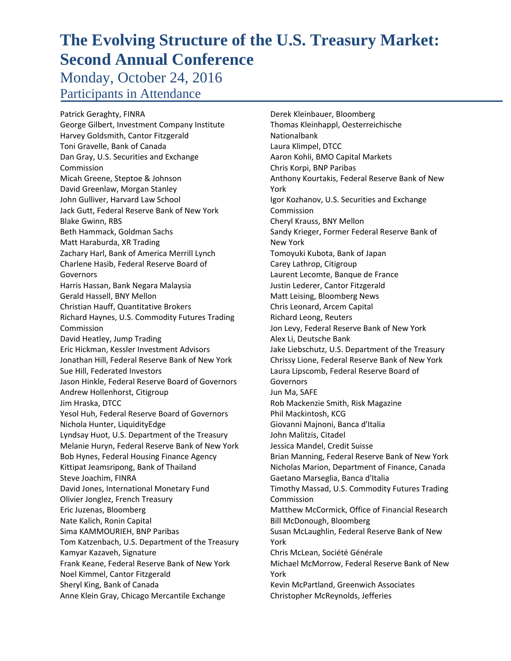Monday, October 24, 2016 Participants in Attendance

Patrick Geraghty, FINRA George Gilbert, Investment Company Institute Harvey Goldsmith, Cantor Fitzgerald Toni Gravelle, Bank of Canada Dan Gray, U.S. Securities and Exchange Commission Micah Greene, Steptoe & Johnson David Greenlaw, Morgan Stanley John Gulliver, Harvard Law School Jack Gutt, Federal Reserve Bank of New York Blake Gwinn, RBS Beth Hammack, Goldman Sachs Matt Haraburda, XR Trading Zachary Harl, Bank of America Merrill Lynch Charlene Hasib, Federal Reserve Board of **Governors** Harris Hassan, Bank Negara Malaysia Gerald Hassell, BNY Mellon Christian Hauff, Quantitative Brokers Richard Haynes, U.S. Commodity Futures Trading Commission David Heatley, Jump Trading Eric Hickman, Kessler Investment Advisors Jonathan Hill, Federal Reserve Bank of New York Sue Hill, Federated Investors Jason Hinkle, Federal Reserve Board of Governors Andrew Hollenhorst, Citigroup Jim Hraska, DTCC Yesol Huh, Federal Reserve Board of Governors Nichola Hunter, LiquidityEdge Lyndsay Huot, U.S. Department of the Treasury Melanie Huryn, Federal Reserve Bank of New York Bob Hynes, Federal Housing Finance Agency Kittipat Jeamsripong, Bank of Thailand Steve Joachim, FINRA David Jones, International Monetary Fund Olivier Jonglez, French Treasury Eric Juzenas, Bloomberg Nate Kalich, Ronin Capital Sima KAMMOURIEH, BNP Paribas Tom Katzenbach, U.S. Department of the Treasury Kamyar Kazaveh, Signature Frank Keane, Federal Reserve Bank of New York Noel Kimmel, Cantor Fitzgerald Sheryl King, Bank of Canada Anne Klein Gray, Chicago Mercantile Exchange

Derek Kleinbauer, Bloomberg Thomas Kleinhappl, Oesterreichische Nationalbank Laura Klimpel, DTCC Aaron Kohli, BMO Capital Markets Chris Korpi, BNP Paribas Anthony Kourtakis, Federal Reserve Bank of New York Igor Kozhanov, U.S. Securities and Exchange Commission Cheryl Krauss, BNY Mellon Sandy Krieger, Former Federal Reserve Bank of New York Tomoyuki Kubota, Bank of Japan Carey Lathrop, Citigroup Laurent Lecomte, Banque de France Justin Lederer, Cantor Fitzgerald Matt Leising, Bloomberg News Chris Leonard, Arcem Capital Richard Leong, Reuters Jon Levy, Federal Reserve Bank of New York Alex Li, Deutsche Bank Jake Liebschutz, U.S. Department of the Treasury Chrissy Lione, Federal Reserve Bank of New York Laura Lipscomb, Federal Reserve Board of Governors Jun Ma, SAFE Rob Mackenzie Smith, Risk Magazine Phil Mackintosh, KCG Giovanni Majnoni, Banca d'Italia John Malitzis, Citadel Jessica Mandel, Credit Suisse Brian Manning, Federal Reserve Bank of New York Nicholas Marion, Department of Finance, Canada Gaetano Marseglia, Banca d'Italia Timothy Massad, U.S. Commodity Futures Trading Commission Matthew McCormick, Office of Financial Research Bill McDonough, Bloomberg Susan McLaughlin, Federal Reserve Bank of New York Chris McLean, Société Générale Michael McMorrow, Federal Reserve Bank of New York Kevin McPartland, Greenwich Associates Christopher McReynolds, Jefferies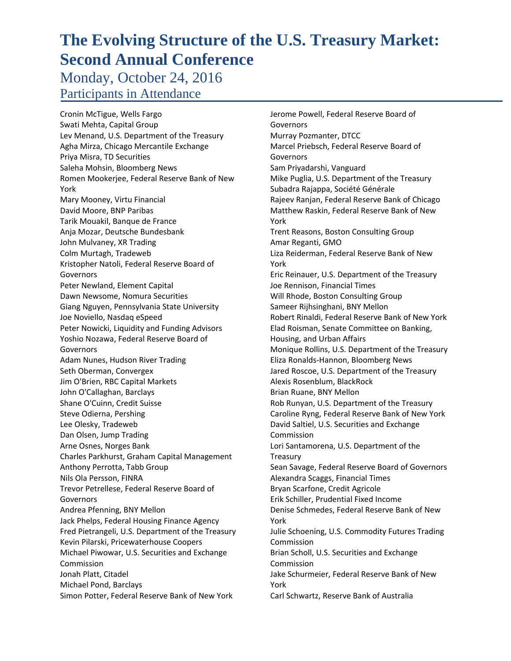Monday, October 24, 2016 Participants in Attendance

Cronin McTigue, Wells Fargo Swati Mehta, Capital Group Lev Menand, U.S. Department of the Treasury Agha Mirza, Chicago Mercantile Exchange Priya Misra, TD Securities Saleha Mohsin, Bloomberg News Romen Mookerjee, Federal Reserve Bank of New York Mary Mooney, Virtu Financial David Moore, BNP Paribas Tarik Mouakil, Banque de France Anja Mozar, Deutsche Bundesbank John Mulvaney, XR Trading Colm Murtagh, Tradeweb Kristopher Natoli, Federal Reserve Board of **Governors** Peter Newland, Element Capital Dawn Newsome, Nomura Securities Giang Nguyen, Pennsylvania State University Joe Noviello, Nasdaq eSpeed Peter Nowicki, Liquidity and Funding Advisors Yoshio Nozawa, Federal Reserve Board of Governors Adam Nunes, Hudson River Trading Seth Oberman, Convergex Jim O'Brien, RBC Capital Markets John O'Callaghan, Barclays Shane O'Cuinn, Credit Suisse Steve Odierna, Pershing Lee Olesky, Tradeweb Dan Olsen, Jump Trading Arne Osnes, Norges Bank Charles Parkhurst, Graham Capital Management Anthony Perrotta, Tabb Group Nils Ola Persson, FINRA Trevor Petrellese, Federal Reserve Board of Governors Andrea Pfenning, BNY Mellon Jack Phelps, Federal Housing Finance Agency Fred Pietrangeli, U.S. Department of the Treasury Kevin Pilarski, Pricewaterhouse Coopers Michael Piwowar, U.S. Securities and Exchange Commission Jonah Platt, Citadel Michael Pond, Barclays Simon Potter, Federal Reserve Bank of New York

Jerome Powell, Federal Reserve Board of Governors Murray Pozmanter, DTCC Marcel Priebsch, Federal Reserve Board of **Governors** Sam Priyadarshi, Vanguard Mike Puglia, U.S. Department of the Treasury Subadra Rajappa, Société Générale Rajeev Ranjan, Federal Reserve Bank of Chicago Matthew Raskin, Federal Reserve Bank of New York Trent Reasons, Boston Consulting Group Amar Reganti, GMO Liza Reiderman, Federal Reserve Bank of New York Eric Reinauer, U.S. Department of the Treasury Joe Rennison, Financial Times Will Rhode, Boston Consulting Group Sameer Rijhsinghani, BNY Mellon Robert Rinaldi, Federal Reserve Bank of New York Elad Roisman, Senate Committee on Banking, Housing, and Urban Affairs Monique Rollins, U.S. Department of the Treasury Eliza Ronalds‐Hannon, Bloomberg News Jared Roscoe, U.S. Department of the Treasury Alexis Rosenblum, BlackRock Brian Ruane, BNY Mellon Rob Runyan, U.S. Department of the Treasury Caroline Ryng, Federal Reserve Bank of New York David Saltiel, U.S. Securities and Exchange Commission Lori Santamorena, U.S. Department of the **Treasury** Sean Savage, Federal Reserve Board of Governors Alexandra Scaggs, Financial Times Bryan Scarfone, Credit Agricole Erik Schiller, Prudential Fixed Income Denise Schmedes, Federal Reserve Bank of New York Julie Schoening, U.S. Commodity Futures Trading Commission Brian Scholl, U.S. Securities and Exchange Commission Jake Schurmeier, Federal Reserve Bank of New York Carl Schwartz, Reserve Bank of Australia